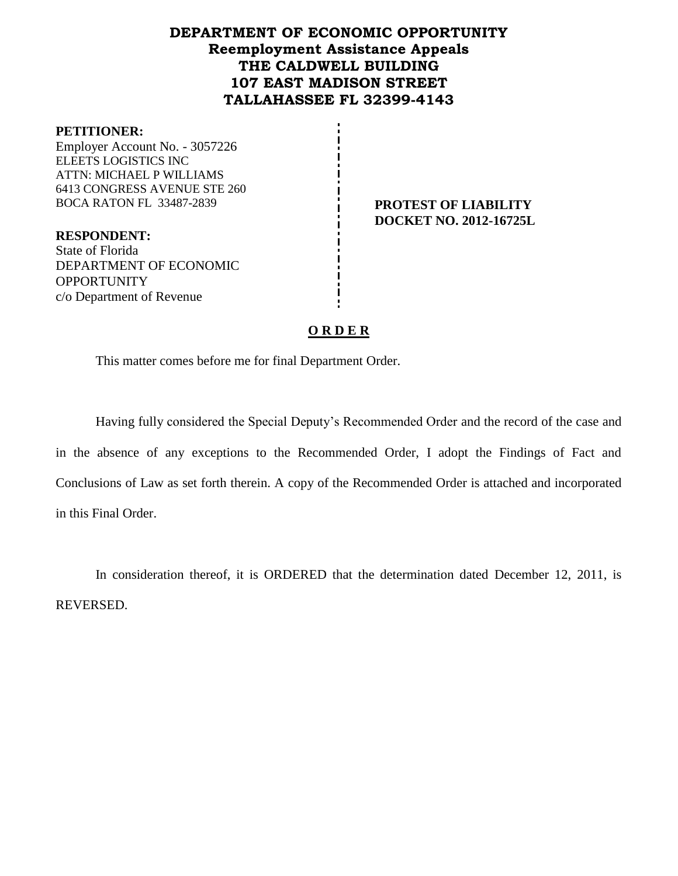## **DEPARTMENT OF ECONOMIC OPPORTUNITY Reemployment Assistance Appeals THE CALDWELL BUILDING 107 EAST MADISON STREET TALLAHASSEE FL 32399-4143**

#### **PETITIONER:**

Employer Account No. - 3057226 ELEETS LOGISTICS INC ATTN: MICHAEL P WILLIAMS 6413 CONGRESS AVENUE STE 260 BOCA RATON FL 33487-2839 **PROTEST OF LIABILITY** 

**RESPONDENT:** State of Florida DEPARTMENT OF ECONOMIC **OPPORTUNITY** c/o Department of Revenue

**DOCKET NO. 2012-16725L**

## **O R D E R**

This matter comes before me for final Department Order.

Having fully considered the Special Deputy's Recommended Order and the record of the case and in the absence of any exceptions to the Recommended Order, I adopt the Findings of Fact and Conclusions of Law as set forth therein. A copy of the Recommended Order is attached and incorporated in this Final Order.

In consideration thereof, it is ORDERED that the determination dated December 12, 2011, is REVERSED.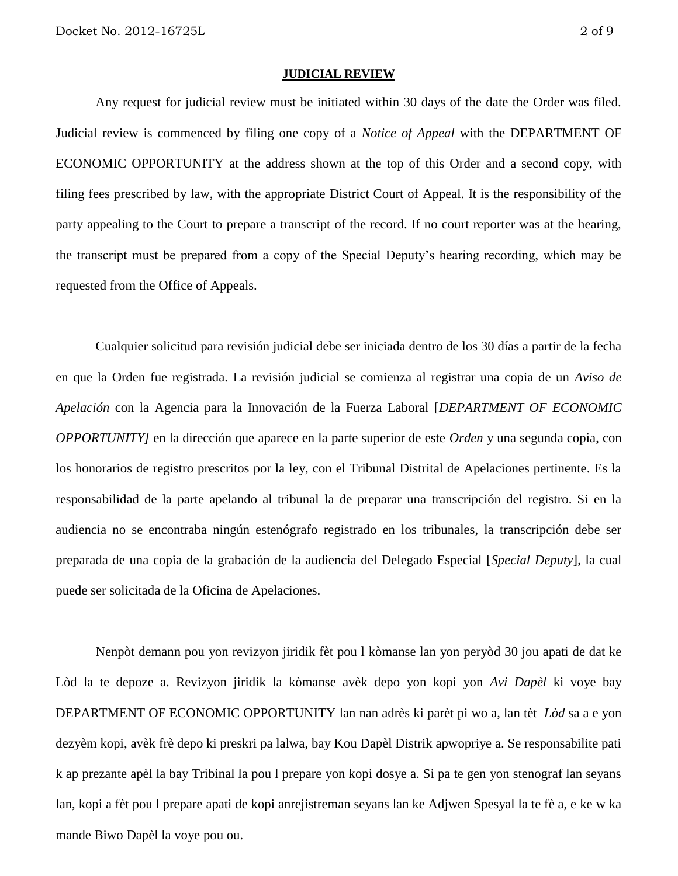#### **JUDICIAL REVIEW**

Any request for judicial review must be initiated within 30 days of the date the Order was filed. Judicial review is commenced by filing one copy of a *Notice of Appeal* with the DEPARTMENT OF ECONOMIC OPPORTUNITY at the address shown at the top of this Order and a second copy, with filing fees prescribed by law, with the appropriate District Court of Appeal. It is the responsibility of the party appealing to the Court to prepare a transcript of the record. If no court reporter was at the hearing, the transcript must be prepared from a copy of the Special Deputy's hearing recording, which may be requested from the Office of Appeals.

Cualquier solicitud para revisión judicial debe ser iniciada dentro de los 30 días a partir de la fecha en que la Orden fue registrada. La revisión judicial se comienza al registrar una copia de un *Aviso de Apelación* con la Agencia para la Innovación de la Fuerza Laboral [*DEPARTMENT OF ECONOMIC OPPORTUNITY]* en la dirección que aparece en la parte superior de este *Orden* y una segunda copia, con los honorarios de registro prescritos por la ley, con el Tribunal Distrital de Apelaciones pertinente. Es la responsabilidad de la parte apelando al tribunal la de preparar una transcripción del registro. Si en la audiencia no se encontraba ningún estenógrafo registrado en los tribunales, la transcripción debe ser preparada de una copia de la grabación de la audiencia del Delegado Especial [*Special Deputy*], la cual puede ser solicitada de la Oficina de Apelaciones.

Nenpòt demann pou yon revizyon jiridik fèt pou l kòmanse lan yon peryòd 30 jou apati de dat ke Lòd la te depoze a. Revizyon jiridik la kòmanse avèk depo yon kopi yon *Avi Dapèl* ki voye bay DEPARTMENT OF ECONOMIC OPPORTUNITY lan nan adrès ki parèt pi wo a, lan tèt *Lòd* sa a e yon dezyèm kopi, avèk frè depo ki preskri pa lalwa, bay Kou Dapèl Distrik apwopriye a. Se responsabilite pati k ap prezante apèl la bay Tribinal la pou l prepare yon kopi dosye a. Si pa te gen yon stenograf lan seyans lan, kopi a fèt pou l prepare apati de kopi anrejistreman seyans lan ke Adjwen Spesyal la te fè a, e ke w ka mande Biwo Dapèl la voye pou ou.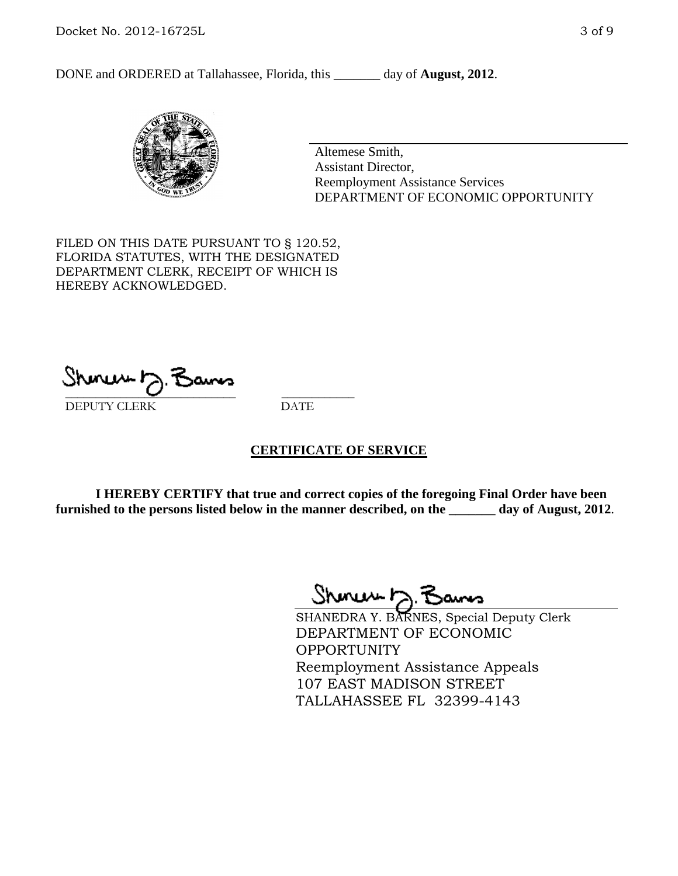DONE and ORDERED at Tallahassee, Florida, this day of **August, 2012**.



Altemese Smith, Assistant Director, Reemployment Assistance Services DEPARTMENT OF ECONOMIC OPPORTUNITY

FILED ON THIS DATE PURSUANT TO § 120.52, FLORIDA STATUTES, WITH THE DESIGNATED DEPARTMENT CLERK, RECEIPT OF WHICH IS HEREBY ACKNOWLEDGED.

 $S$ hanuu  $\gamma$ . Danos DEPUTY CLERK DATE

### **CERTIFICATE OF SERVICE**

**I HEREBY CERTIFY that true and correct copies of the foregoing Final Order have been furnished to the persons listed below in the manner described, on the \_\_\_\_\_\_\_ day of August, 2012**.

Shoner D. Bams

SHANEDRA Y. BARNES, Special Deputy Clerk DEPARTMENT OF ECONOMIC OPPORTUNITY Reemployment Assistance Appeals 107 EAST MADISON STREET TALLAHASSEE FL 32399-4143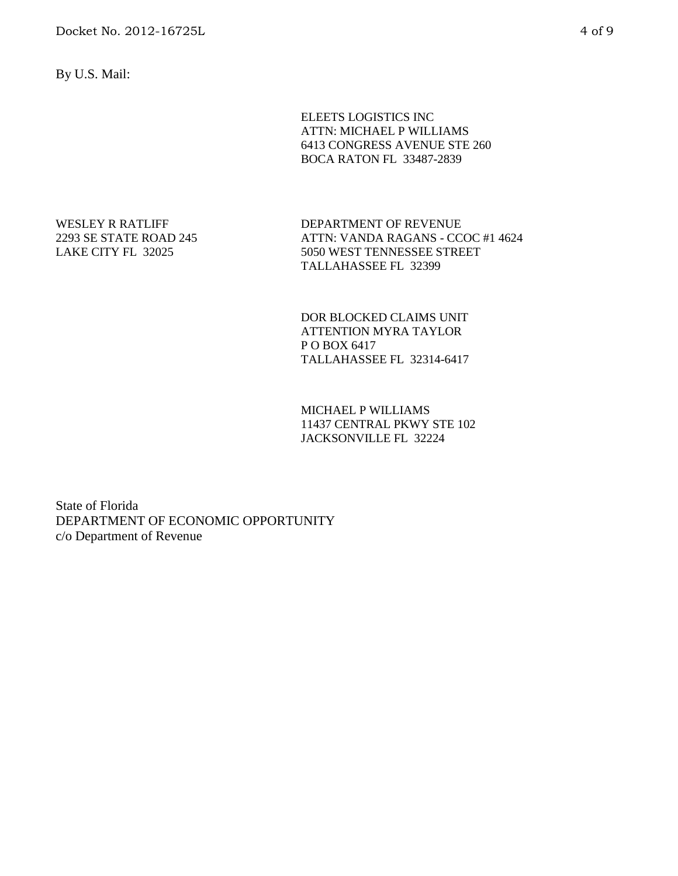By U.S. Mail:

ELEETS LOGISTICS INC ATTN: MICHAEL P WILLIAMS 6413 CONGRESS AVENUE STE 260 BOCA RATON FL 33487-2839

WESLEY R RATLIFF 2293 SE STATE ROAD 245 LAKE CITY FL 32025

DEPARTMENT OF REVENUE ATTN: VANDA RAGANS - CCOC #1 4624 5050 WEST TENNESSEE STREET TALLAHASSEE FL 32399

DOR BLOCKED CLAIMS UNIT ATTENTION MYRA TAYLOR P O BOX 6417 TALLAHASSEE FL 32314-6417

MICHAEL P WILLIAMS 11437 CENTRAL PKWY STE 102 JACKSONVILLE FL 32224

State of Florida DEPARTMENT OF ECONOMIC OPPORTUNITY c/o Department of Revenue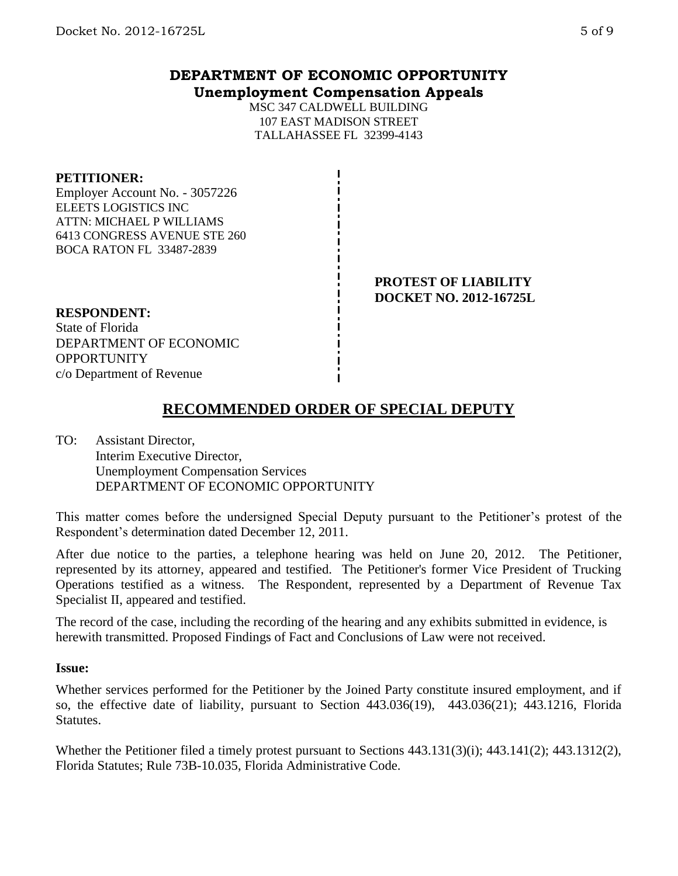# **DEPARTMENT OF ECONOMIC OPPORTUNITY Unemployment Compensation Appeals**

MSC 347 CALDWELL BUILDING 107 EAST MADISON STREET TALLAHASSEE FL 32399-4143

### **PETITIONER:**

Employer Account No. - 3057226 ELEETS LOGISTICS INC ATTN: MICHAEL P WILLIAMS 6413 CONGRESS AVENUE STE 260 BOCA RATON FL 33487-2839

> **PROTEST OF LIABILITY DOCKET NO. 2012-16725L**

## **RESPONDENT:**

State of Florida DEPARTMENT OF ECONOMIC **OPPORTUNITY** c/o Department of Revenue

# **RECOMMENDED ORDER OF SPECIAL DEPUTY**

TO: Assistant Director, Interim Executive Director, Unemployment Compensation Services DEPARTMENT OF ECONOMIC OPPORTUNITY

This matter comes before the undersigned Special Deputy pursuant to the Petitioner's protest of the Respondent's determination dated December 12, 2011.

After due notice to the parties, a telephone hearing was held on June 20, 2012. The Petitioner, represented by its attorney, appeared and testified. The Petitioner's former Vice President of Trucking Operations testified as a witness. The Respondent, represented by a Department of Revenue Tax Specialist II, appeared and testified.

The record of the case, including the recording of the hearing and any exhibits submitted in evidence, is herewith transmitted. Proposed Findings of Fact and Conclusions of Law were not received.

### **Issue:**

Whether services performed for the Petitioner by the Joined Party constitute insured employment, and if so, the effective date of liability, pursuant to Section 443.036(19), 443.036(21); 443.1216, Florida **Statutes.** 

Whether the Petitioner filed a timely protest pursuant to Sections 443.131(3)(i); 443.141(2); 443.1312(2), Florida Statutes; Rule 73B-10.035, Florida Administrative Code.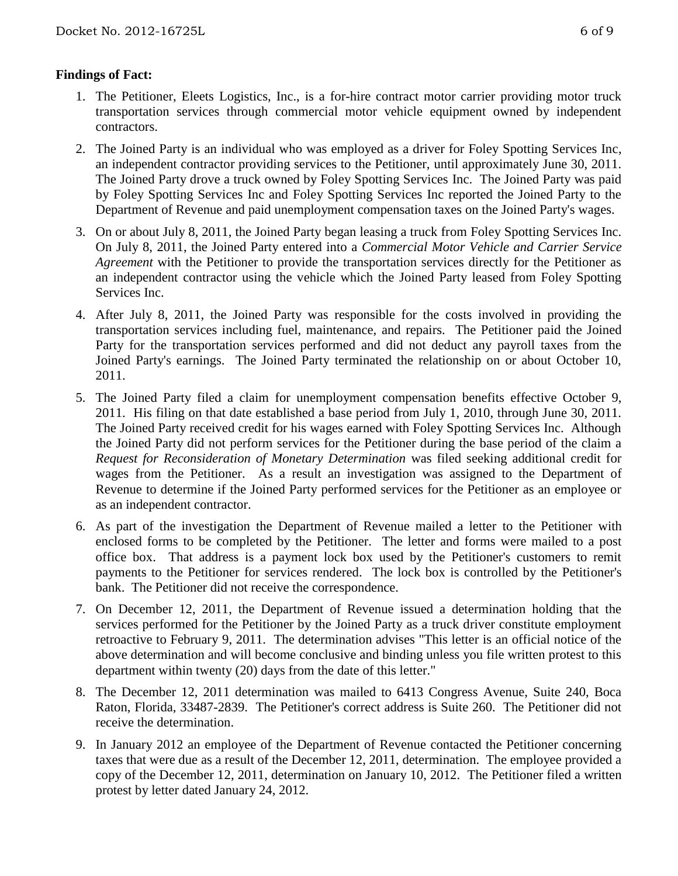## **Findings of Fact:**

- 1. The Petitioner, Eleets Logistics, Inc., is a for-hire contract motor carrier providing motor truck transportation services through commercial motor vehicle equipment owned by independent contractors.
- 2. The Joined Party is an individual who was employed as a driver for Foley Spotting Services Inc, an independent contractor providing services to the Petitioner, until approximately June 30, 2011. The Joined Party drove a truck owned by Foley Spotting Services Inc. The Joined Party was paid by Foley Spotting Services Inc and Foley Spotting Services Inc reported the Joined Party to the Department of Revenue and paid unemployment compensation taxes on the Joined Party's wages.
- 3. On or about July 8, 2011, the Joined Party began leasing a truck from Foley Spotting Services Inc. On July 8, 2011, the Joined Party entered into a *Commercial Motor Vehicle and Carrier Service Agreement* with the Petitioner to provide the transportation services directly for the Petitioner as an independent contractor using the vehicle which the Joined Party leased from Foley Spotting Services Inc.
- 4. After July 8, 2011, the Joined Party was responsible for the costs involved in providing the transportation services including fuel, maintenance, and repairs. The Petitioner paid the Joined Party for the transportation services performed and did not deduct any payroll taxes from the Joined Party's earnings. The Joined Party terminated the relationship on or about October 10, 2011.
- 5. The Joined Party filed a claim for unemployment compensation benefits effective October 9, 2011. His filing on that date established a base period from July 1, 2010, through June 30, 2011. The Joined Party received credit for his wages earned with Foley Spotting Services Inc. Although the Joined Party did not perform services for the Petitioner during the base period of the claim a *Request for Reconsideration of Monetary Determination* was filed seeking additional credit for wages from the Petitioner. As a result an investigation was assigned to the Department of Revenue to determine if the Joined Party performed services for the Petitioner as an employee or as an independent contractor.
- 6. As part of the investigation the Department of Revenue mailed a letter to the Petitioner with enclosed forms to be completed by the Petitioner. The letter and forms were mailed to a post office box. That address is a payment lock box used by the Petitioner's customers to remit payments to the Petitioner for services rendered. The lock box is controlled by the Petitioner's bank. The Petitioner did not receive the correspondence.
- 7. On December 12, 2011, the Department of Revenue issued a determination holding that the services performed for the Petitioner by the Joined Party as a truck driver constitute employment retroactive to February 9, 2011. The determination advises "This letter is an official notice of the above determination and will become conclusive and binding unless you file written protest to this department within twenty (20) days from the date of this letter."
- 8. The December 12, 2011 determination was mailed to 6413 Congress Avenue, Suite 240, Boca Raton, Florida, 33487-2839. The Petitioner's correct address is Suite 260. The Petitioner did not receive the determination.
- 9. In January 2012 an employee of the Department of Revenue contacted the Petitioner concerning taxes that were due as a result of the December 12, 2011, determination. The employee provided a copy of the December 12, 2011, determination on January 10, 2012. The Petitioner filed a written protest by letter dated January 24, 2012.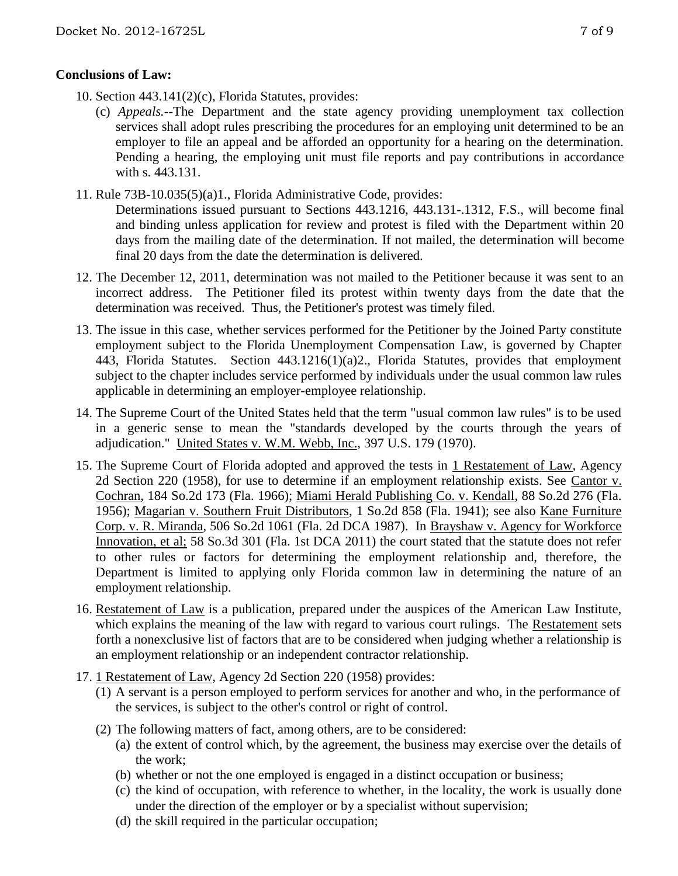## **Conclusions of Law:**

- 10. Section 443.141(2)(c), Florida Statutes, provides:
	- (c) *Appeals.*--The Department and the state agency providing unemployment tax collection services shall adopt rules prescribing the procedures for an employing unit determined to be an employer to file an appeal and be afforded an opportunity for a hearing on the determination. Pending a hearing, the employing unit must file reports and pay contributions in accordance with s. 443.131.
- 11. Rule 73B-10.035(5)(a)1., Florida Administrative Code, provides:

Determinations issued pursuant to Sections 443.1216, 443.131-.1312, F.S., will become final and binding unless application for review and protest is filed with the Department within 20 days from the mailing date of the determination. If not mailed, the determination will become final 20 days from the date the determination is delivered.

- 12. The December 12, 2011, determination was not mailed to the Petitioner because it was sent to an incorrect address. The Petitioner filed its protest within twenty days from the date that the determination was received. Thus, the Petitioner's protest was timely filed.
- 13. The issue in this case, whether services performed for the Petitioner by the Joined Party constitute employment subject to the Florida Unemployment Compensation Law, is governed by Chapter 443, Florida Statutes. Section 443.1216(1)(a)2., Florida Statutes, provides that employment subject to the chapter includes service performed by individuals under the usual common law rules applicable in determining an employer-employee relationship.
- 14. The Supreme Court of the United States held that the term "usual common law rules" is to be used in a generic sense to mean the "standards developed by the courts through the years of adjudication." United States v. W.M. Webb, Inc., 397 U.S. 179 (1970).
- 15. The Supreme Court of Florida adopted and approved the tests in 1 Restatement of Law, Agency 2d Section 220 (1958), for use to determine if an employment relationship exists. See Cantor v. Cochran, 184 So.2d 173 (Fla. 1966); Miami Herald Publishing Co. v. Kendall, 88 So.2d 276 (Fla. 1956); Magarian v. Southern Fruit Distributors, 1 So.2d 858 (Fla. 1941); see also Kane Furniture Corp. v. R. Miranda, 506 So.2d 1061 (Fla. 2d DCA 1987). In Brayshaw v. Agency for Workforce Innovation, et al; 58 So.3d 301 (Fla. 1st DCA 2011) the court stated that the statute does not refer to other rules or factors for determining the employment relationship and, therefore, the Department is limited to applying only Florida common law in determining the nature of an employment relationship.
- 16. Restatement of Law is a publication, prepared under the auspices of the American Law Institute, which explains the meaning of the law with regard to various court rulings. The Restatement sets forth a nonexclusive list of factors that are to be considered when judging whether a relationship is an employment relationship or an independent contractor relationship.
- 17. 1 Restatement of Law, Agency 2d Section 220 (1958) provides:
	- (1) A servant is a person employed to perform services for another and who, in the performance of the services, is subject to the other's control or right of control.
	- (2) The following matters of fact, among others, are to be considered:
		- (a) the extent of control which, by the agreement, the business may exercise over the details of the work;
		- (b) whether or not the one employed is engaged in a distinct occupation or business;
		- (c) the kind of occupation, with reference to whether, in the locality, the work is usually done under the direction of the employer or by a specialist without supervision;
		- (d) the skill required in the particular occupation;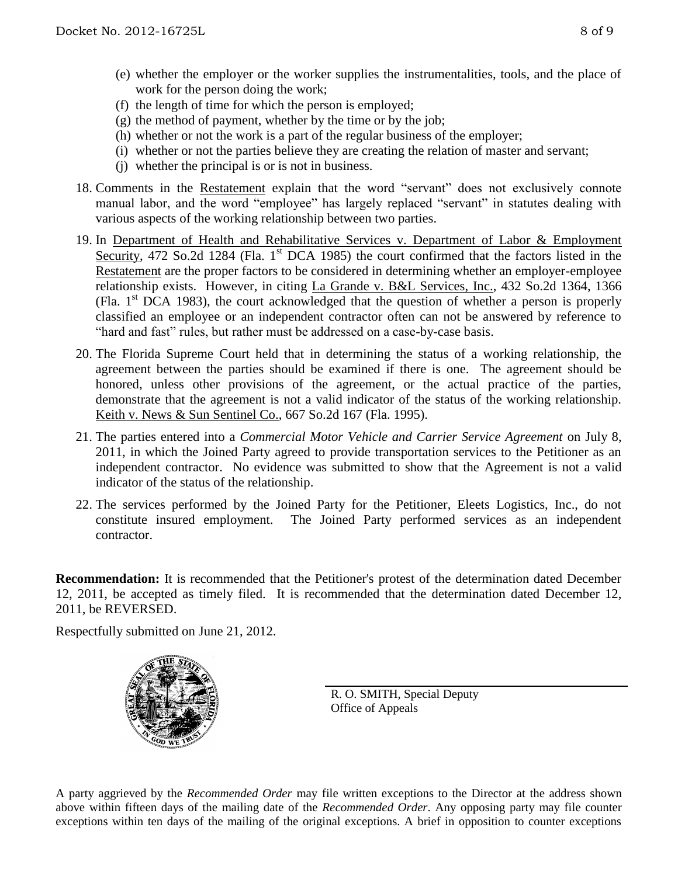- (e) whether the employer or the worker supplies the instrumentalities, tools, and the place of work for the person doing the work;
- (f) the length of time for which the person is employed;
- (g) the method of payment, whether by the time or by the job;
- (h) whether or not the work is a part of the regular business of the employer;
- (i) whether or not the parties believe they are creating the relation of master and servant;
- (j) whether the principal is or is not in business.
- 18. Comments in the Restatement explain that the word "servant" does not exclusively connote manual labor, and the word "employee" has largely replaced "servant" in statutes dealing with various aspects of the working relationship between two parties.
- 19. In Department of Health and Rehabilitative Services v. Department of Labor & Employment Security, 472 So.2d 1284 (Fla. 1<sup>st</sup> DCA 1985) the court confirmed that the factors listed in the Restatement are the proper factors to be considered in determining whether an employer-employee relationship exists. However, in citing La Grande v. B&L Services, Inc., 432 So.2d 1364, 1366 (Fla.  $1<sup>st</sup> DCA$  1983), the court acknowledged that the question of whether a person is properly classified an employee or an independent contractor often can not be answered by reference to "hard and fast" rules, but rather must be addressed on a case-by-case basis.
- 20. The Florida Supreme Court held that in determining the status of a working relationship, the agreement between the parties should be examined if there is one. The agreement should be honored, unless other provisions of the agreement, or the actual practice of the parties, demonstrate that the agreement is not a valid indicator of the status of the working relationship. Keith v. News & Sun Sentinel Co., 667 So.2d 167 (Fla. 1995).
- 21. The parties entered into a *Commercial Motor Vehicle and Carrier Service Agreement* on July 8, 2011, in which the Joined Party agreed to provide transportation services to the Petitioner as an independent contractor. No evidence was submitted to show that the Agreement is not a valid indicator of the status of the relationship.
- 22. The services performed by the Joined Party for the Petitioner, Eleets Logistics, Inc., do not constitute insured employment. The Joined Party performed services as an independent contractor.

**Recommendation:** It is recommended that the Petitioner's protest of the determination dated December 12, 2011, be accepted as timely filed. It is recommended that the determination dated December 12, 2011, be REVERSED.

Respectfully submitted on June 21, 2012.



R. O. SMITH, Special Deputy Office of Appeals

A party aggrieved by the *Recommended Order* may file written exceptions to the Director at the address shown above within fifteen days of the mailing date of the *Recommended Order*. Any opposing party may file counter exceptions within ten days of the mailing of the original exceptions. A brief in opposition to counter exceptions